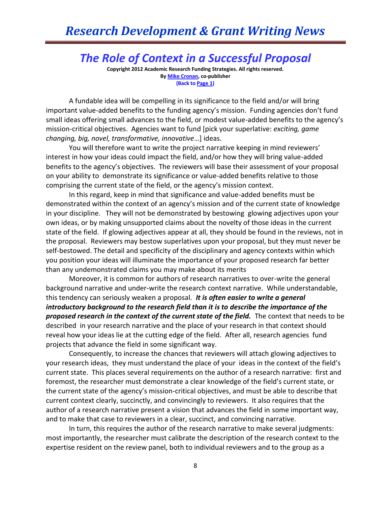## *The Role of Context in a Successful Proposal*

**Copyright 2012 Academic Research Funding Strategies. All rights reserved. B[y Mike Cronan,](mailto:mjcronan@gmail.com) co-publisher (Back to Page 1)**

A fundable idea will be compelling in its significance to the field and/or will bring important value-added benefits to the funding agency's mission. Funding agencies don't fund small ideas offering small advances to the field, or modest value-added benefits to the agency's mission-critical objectives. Agencies want to fund [pick your superlative: *exciting, game changing, big, novel, transformative, innovative*…] ideas.

You will therefore want to write the project narrative keeping in mind reviewers' interest in how your ideas could impact the field, and/or how they will bring value-added benefits to the agency's objectives. The reviewers will base their assessment of your proposal on your ability to demonstrate its significance or value-added benefits relative to those comprising the current state of the field, or the agency's mission context.

In this regard, keep in mind that significance and value-added benefits must be demonstrated within the context of an agency's mission and of the current state of knowledge in your discipline. They will not be demonstrated by bestowing glowing adjectives upon your own ideas, or by making unsupported claims about the novelty of those ideas in the current state of the field. If glowing adjectives appear at all, they should be found in the reviews, not in the proposal. Reviewers may bestow superlatives upon your proposal, but they must never be self-bestowed. The detail and specificity of the disciplinary and agency contexts within which you position your ideas will illuminate the importance of your proposed research far better than any undemonstrated claims you may make about its merits

Moreover, it is common for authors of research narratives to over-write the general background narrative and under-write the research context narrative. While understandable, this tendency can seriously weaken a proposal. *It is often easier to write a general introductory background to the research field than it is to describe the importance of the proposed research in the context of the current state of the field.* The context that needs to be described in your research narrative and the place of your research in that context should reveal how your ideas lie at the cutting edge of the field. After all, research agencies fund projects that advance the field in some significant way.

Consequently, to increase the chances that reviewers will attach glowing adjectives to your research ideas, they must understand the place of your ideas in the context of the field's current state. This places several requirements on the author of a research narrative: first and foremost, the researcher must demonstrate a clear knowledge of the field's current state, or the current state of the agency's mission-critical objectives, and must be able to describe that current context clearly, succinctly, and convincingly to reviewers. It also requires that the author of a research narrative present a vision that advances the field in some important way, and to make that case to reviewers in a clear, succinct, and convincing narrative.

In turn, this requires the author of the research narrative to make several judgments: most importantly, the researcher must calibrate the description of the research context to the expertise resident on the review panel, both to individual reviewers and to the group as a